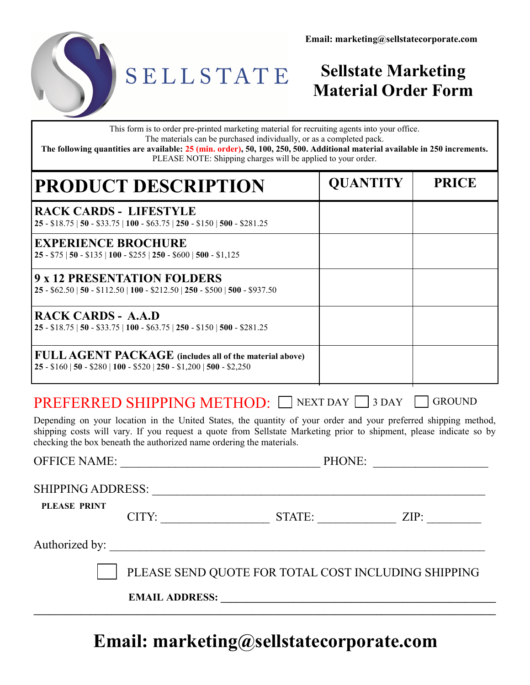



## SELLSTATE

## **Sellstate Marketing Material Order Form**

This form is to order pre-printed marketing material for recruiting agents into your office. The materials can be purchased individually, or as a completed pack.

**The following quantities are available: 25 (min. order), 50, 100, 250, 500. Additional material available in 250 increments.** PLEASE NOTE: Shipping charges will be applied to your order.

| <b>PRODUCT DESCRIPTION</b>                                                                                                           | <b>QUANTITY</b> | <b>PRICE</b> |
|--------------------------------------------------------------------------------------------------------------------------------------|-----------------|--------------|
| <b>RACK CARDS - LIFESTYLE</b><br>$25 - $18.75$   50 - \$33.75   100 - \$63.75   250 - \$150   500 - \$281.25                         |                 |              |
| <b>EXPERIENCE BROCHURE</b><br>$25 - $75   50 - $135   100 - $255   250 - $600   500 - $1,125$                                        |                 |              |
| 9 x 12 PRESENTATION FOLDERS<br>$25 - $62.50   50 - $112.50   100 - $212.50   250 - $500   500 - $937.50$                             |                 |              |
| <b>RACK CARDS - A.A.D</b><br>$25 - $18.75$   50 - \$33.75   100 - \$63.75   250 - \$150   500 - \$281.25                             |                 |              |
| <b>FULL AGENT PACKAGE</b> (includes all of the material above)<br>$25 - $160   50 - $280   100 - $520   250 - $1,200   500 - $2,250$ |                 |              |

## PREFERRED SHIPPING METHOD: NEXT DAY 3 DAY GROUND

Depending on your location in the United States, the quantity of your order and your preferred shipping method, shipping costs will vary. If you request a quote from Sellstate Marketing prior to shipment, please indicate so by checking the box beneath the authorized name ordering the materials.

**PLEASE PRINT** OFFICE NAME: \_\_\_\_\_\_\_\_\_\_\_\_\_\_\_\_\_\_\_\_\_\_\_\_\_\_\_\_\_\_\_\_\_ PHONE: \_\_\_\_\_\_\_\_\_\_\_\_\_\_\_\_\_\_\_ SHIPPING ADDRESS: \_\_\_\_\_\_\_\_\_\_\_\_\_\_\_\_\_\_\_\_\_\_\_\_\_\_\_\_\_\_\_\_\_\_\_\_\_\_\_\_\_\_\_\_\_\_\_\_\_\_\_\_\_\_\_ CITY: \_\_\_\_\_\_\_\_\_\_\_\_\_\_\_\_\_\_ STATE: \_\_\_\_\_\_\_\_\_\_\_\_\_ ZIP: \_\_\_\_\_\_\_\_\_ Authorized by: \_\_\_\_\_\_\_\_\_\_\_\_\_\_\_\_\_\_\_\_\_\_\_\_\_\_\_\_\_\_\_\_\_\_\_\_\_\_\_\_\_\_\_\_\_\_\_\_\_\_\_\_\_\_\_\_\_\_\_\_\_\_ PLEASE SEND QUOTE FOR TOTAL COST INCLUDING SHIPPING **EMAIL ADDRESS:**  $\mathcal{L}_\mathcal{L} = \{ \mathcal{L}_\mathcal{L} = \{ \mathcal{L}_\mathcal{L} = \{ \mathcal{L}_\mathcal{L} = \{ \mathcal{L}_\mathcal{L} = \{ \mathcal{L}_\mathcal{L} = \{ \mathcal{L}_\mathcal{L} = \{ \mathcal{L}_\mathcal{L} = \{ \mathcal{L}_\mathcal{L} = \{ \mathcal{L}_\mathcal{L} = \{ \mathcal{L}_\mathcal{L} = \{ \mathcal{L}_\mathcal{L} = \{ \mathcal{L}_\mathcal{L} = \{ \mathcal{L}_\mathcal{L} = \{ \mathcal{L}_\mathcal{$ 

## **Email: marketing@sellstatecorporate.com**